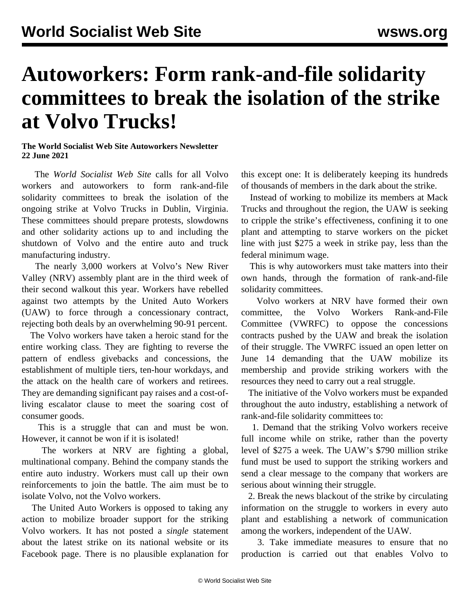## **Autoworkers: Form rank-and-file solidarity committees to break the isolation of the strike at Volvo Trucks!**

## **The World Socialist Web Site Autoworkers Newsletter 22 June 2021**

 The *World Socialist Web Site* calls for all Volvo workers and autoworkers to form rank-and-file solidarity committees to break the isolation of the ongoing strike at Volvo Trucks in Dublin, Virginia. These committees should prepare protests, slowdowns and other solidarity actions up to and including the shutdown of Volvo and the entire auto and truck manufacturing industry.

 The nearly 3,000 workers at Volvo's New River Valley (NRV) assembly plant are in the third week of their second walkout this year. Workers have rebelled against two attempts by the United Auto Workers (UAW) to force through a concessionary contract, rejecting both deals by an overwhelming 90-91 percent.

 The Volvo workers have taken a heroic stand for the entire working class. They are fighting to reverse the pattern of endless givebacks and concessions, the establishment of multiple tiers, ten-hour workdays, and the attack on the health care of workers and retirees. They are demanding significant pay raises and a cost-ofliving escalator clause to meet the soaring cost of consumer goods.

 This is a struggle that can and must be won. However, it cannot be won if it is isolated!

 The workers at NRV are fighting a global, multinational company. Behind the company stands the entire auto industry. Workers must call up their own reinforcements to join the battle. The aim must be to isolate Volvo, not the Volvo workers.

 The United Auto Workers is opposed to taking any action to mobilize broader support for the striking Volvo workers. It has not posted a *single* statement about the latest strike on its national website or its Facebook page. There is no plausible explanation for this except one: It is deliberately keeping its hundreds of thousands of members in the dark about the strike.

 Instead of working to mobilize its members at Mack Trucks and throughout the region, the UAW is seeking to cripple the strike's effectiveness, confining it to one plant and attempting to starve workers on the picket line with just \$275 a week in strike pay, less than the federal minimum wage.

 This is why autoworkers must take matters into their own hands, through the formation of rank-and-file solidarity committees.

 Volvo workers at NRV have formed their own committee, the Volvo Workers Rank-and-File Committee (VWRFC) to oppose the concessions contracts pushed by the UAW and break the isolation of their struggle. The VWRFC issued an [open letter](/en/articles/2021/06/15/volv-j15.html) on June 14 demanding that the UAW mobilize its membership and provide striking workers with the resources they need to carry out a real struggle.

 The initiative of the Volvo workers must be expanded throughout the auto industry, establishing a network of rank-and-file solidarity committees to:

 1. Demand that the striking Volvo workers receive full income while on strike, rather than the poverty level of \$275 a week. The UAW's \$790 million strike fund must be used to support the striking workers and send a clear message to the company that workers are serious about winning their struggle.

 2. Break the news blackout of the strike by circulating information on the struggle to workers in every auto plant and establishing a network of communication among the workers, independent of the UAW.

 3. Take immediate measures to ensure that no production is carried out that enables Volvo to